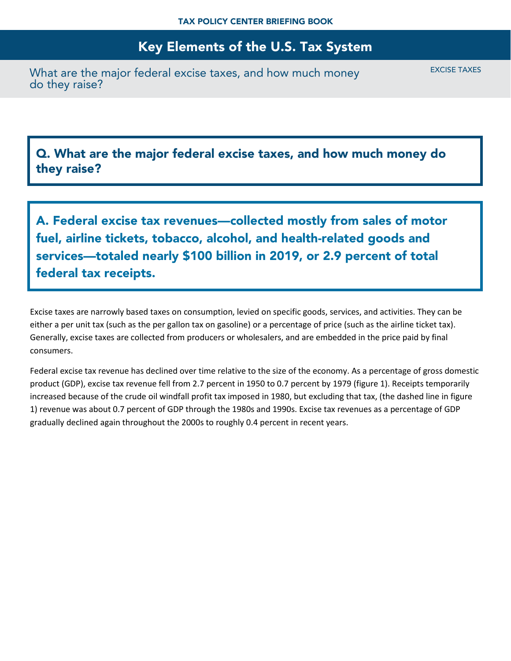What are the major federal excise taxes, and how much money do they raise?

EXCISE TAXES

Q. What are the major federal excise taxes, and how much money do they raise?

A. Federal excise tax revenues—collected mostly from sales of motor fuel, airline tickets, tobacco, alcohol, and health-related goods and services—totaled nearly \$100 billion in 2019, or 2.9 percent of total federal tax receipts.

Excise taxes are narrowly based taxes on consumption, levied on specific goods, services, and activities. They can be either a per unit tax (such as the per gallon tax on gasoline) or a percentage of price (such as the airline ticket tax). Generally, excise taxes are collected from producers or wholesalers, and are embedded in the price paid by final consumers.

Federal excise tax revenue has declined over time relative to the size of the economy. As a percentage of gross domestic product (GDP), excise tax revenue fell from 2.7 percent in 1950 to 0.7 percent by 1979 (figure 1). Receipts temporarily increased because of the crude oil windfall profit tax imposed in 1980, but excluding that tax, (the dashed line in figure 1) revenue was about 0.7 percent of GDP through the 1980s and 1990s. Excise tax revenues as a percentage of GDP gradually declined again throughout the 2000s to roughly 0.4 percent in recent years.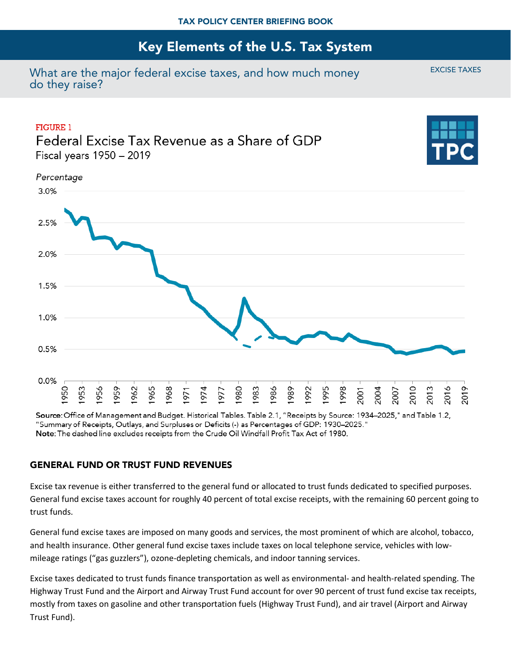What are the major federal excise taxes, and how much money do they raise?



Source: Office of Management and Budget. Historical Tables. Table 2.1, "Receipts by Source: 1934–2025," and Table 1.2, "Summary of Receipts, Outlays, and Surpluses or Deficits (-) as Percentages of GDP: 1930–2025." Note: The dashed line excludes receipts from the Crude Oil Windfall Profit Tax Act of 1980.

#### GENERAL FUND OR TRUST FUND REVENUES

Excise tax revenue is either transferred to the general fund or allocated to trust funds dedicated to specified purposes. General fund excise taxes account for roughly 40 percent of total excise receipts, with the remaining 60 percent going to trust funds.

General fund excise taxes are imposed on many goods and services, the most prominent of which are alcohol, tobacco, and health insurance. Other general fund excise taxes include taxes on local telephone service, vehicles with lowmileage ratings ("gas guzzlers"), ozone-depleting chemicals, and indoor tanning services.

Excise taxes dedicated to trust funds finance transportation as well as environmental- and health-related spending. The Highway Trust Fund and the Airport and Airway Trust Fund account for over 90 percent of trust fund excise tax receipts, mostly from taxes on gasoline and other transportation fuels (Highway Trust Fund), and air travel (Airport and Airway Trust Fund).

EXCISE TAXES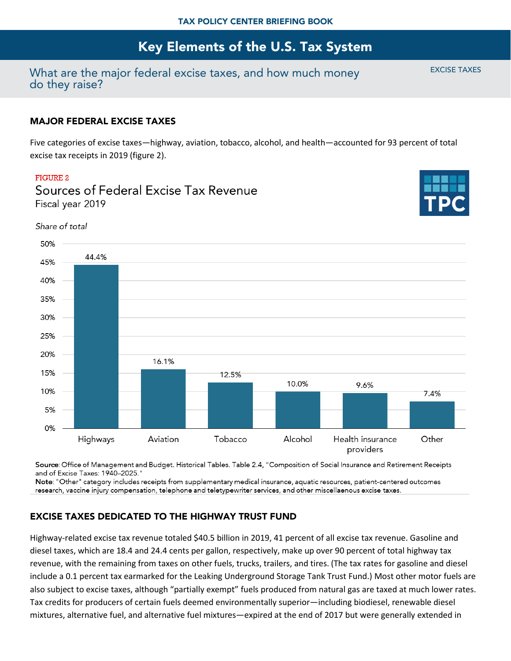## What are the major federal excise taxes, and how much money do they raise?

#### MAJOR FEDERAL EXCISE TAXES

Five categories of excise taxes—highway, aviation, tobacco, alcohol, and health—accounted for 93 percent of total excise tax receipts in 2019 (figure 2).

#### FIGURE 2



Sources of Federal Excise Tax Revenue Fiscal vear 2019

Source: Office of Management and Budget. Historical Tables. Table 2.4, "Composition of Social Insurance and Retirement Receipts and of Excise Taxes: 1940-2025."

Note: "Other" category includes receipts from supplementary medical insurance, aquatic resources, patient-centered outcomes research, vaccine injury compensation, telephone and teletypewriter services, and other miscellaenous excise taxes.

### EXCISE TAXES DEDICATED TO THE HIGHWAY TRUST FUND

Highway-related excise tax revenue totaled \$40.5 billion in 2019, 41 percent of all excise tax revenue. Gasoline and diesel taxes, which are 18.4 and 24.4 cents per gallon, respectively, make up over 90 percent of total highway tax revenue, with the remaining from taxes on other fuels, trucks, trailers, and tires. (The tax rates for gasoline and diesel include a 0.1 percent tax earmarked for the Leaking Underground Storage Tank Trust Fund.) Most other motor fuels are also subject to excise taxes, although "partially exempt" fuels produced from natural gas are taxed at much lower rates. Tax credits for producers of certain fuels deemed environmentally superior—including biodiesel, renewable diesel mixtures, alternative fuel, and alternative fuel mixtures—expired at the end of 2017 but were generally extended in

EXCISE TAXES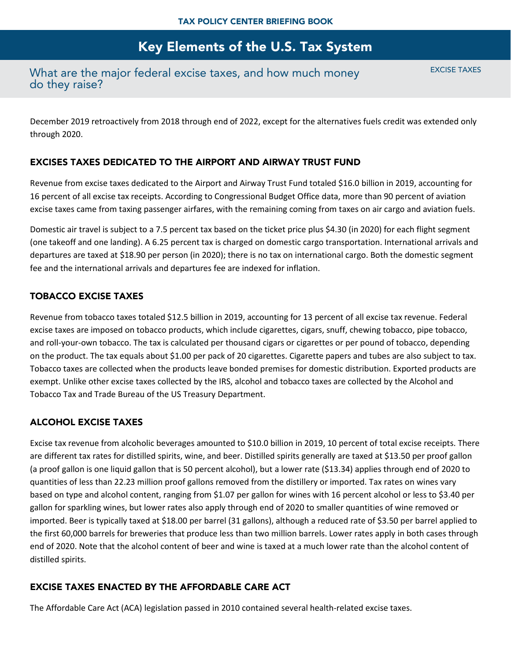## What are the major federal excise taxes, and how much money do they raise?

EXCISE TAXES

December 2019 retroactively from 2018 through end of 2022, except for the alternatives fuels credit was extended only through 2020.

#### EXCISES TAXES DEDICATED TO THE AIRPORT AND AIRWAY TRUST FUND

Revenue from excise taxes dedicated to the Airport and Airway Trust Fund totaled \$16.0 billion in 2019, accounting for 16 percent of all excise tax receipts. According to Congressional Budget Office data, more than 90 percent of aviation excise taxes came from taxing passenger airfares, with the remaining coming from taxes on air cargo and aviation fuels.

Domestic air travel is subject to a 7.5 percent tax based on the ticket price plus \$4.30 (in 2020) for each flight segment (one takeoff and one landing). A 6.25 percent tax is charged on domestic cargo transportation. International arrivals and departures are taxed at \$18.90 per person (in 2020); there is no tax on international cargo. Both the domestic segment fee and the international arrivals and departures fee are indexed for inflation.

### TOBACCO EXCISE TAXES

Revenue from tobacco taxes totaled \$12.5 billion in 2019, accounting for 13 percent of all excise tax revenue. Federal excise taxes are imposed on tobacco products, which include cigarettes, cigars, snuff, chewing tobacco, pipe tobacco, and roll-your-own tobacco. The tax is calculated per thousand cigars or cigarettes or per pound of tobacco, depending on the product. The tax equals about \$1.00 per pack of 20 cigarettes. Cigarette papers and tubes are also subject to tax. Tobacco taxes are collected when the products leave bonded premises for domestic distribution. Exported products are exempt. Unlike other excise taxes collected by the IRS, alcohol and tobacco taxes are collected by the Alcohol and Tobacco Tax and Trade Bureau of the US Treasury Department.

### ALCOHOL EXCISE TAXES

Excise tax revenue from alcoholic beverages amounted to \$10.0 billion in 2019, 10 percent of total excise receipts. There are different tax rates for distilled spirits, wine, and beer. Distilled spirits generally are taxed at \$13.50 per proof gallon (a proof gallon is one liquid gallon that is 50 percent alcohol), but a lower rate (\$13.34) applies through end of 2020 to quantities of less than 22.23 million proof gallons removed from the distillery or imported. Tax rates on wines vary based on type and alcohol content, ranging from \$1.07 per gallon for wines with 16 percent alcohol or less to \$3.40 per gallon for sparkling wines, but lower rates also apply through end of 2020 to smaller quantities of wine removed or imported. Beer is typically taxed at \$18.00 per barrel (31 gallons), although a reduced rate of \$3.50 per barrel applied to the first 60,000 barrels for breweries that produce less than two million barrels. Lower rates apply in both cases through end of 2020. Note that the alcohol content of beer and wine is taxed at a much lower rate than the alcohol content of distilled spirits.

### EXCISE TAXES ENACTED BY THE AFFORDABLE CARE ACT

The Affordable Care Act (ACA) legislation passed in 2010 contained several health-related excise taxes.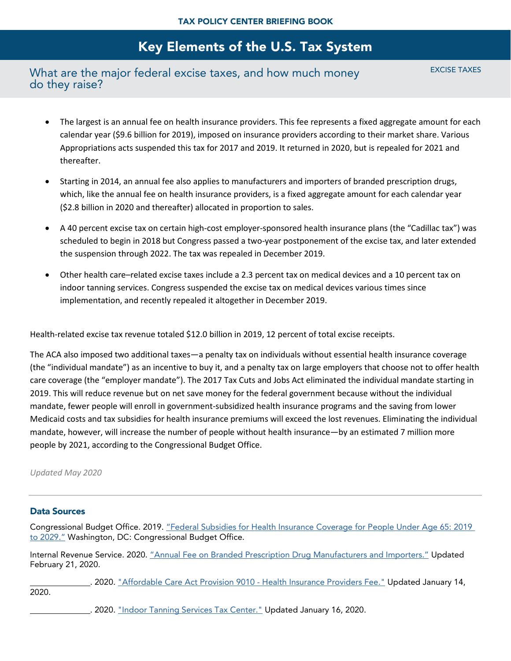## What are the major federal excise taxes, and how much money do they raise?

EXCISE TAXES

- The largest is an annual fee on health insurance providers. This fee represents a fixed aggregate amount for each calendar year (\$9.6 billion for 2019), imposed on insurance providers according to their market share. Various Appropriations acts suspended this tax for 2017 and 2019. It returned in 2020, but is repealed for 2021 and thereafter.
- Starting in 2014, an annual fee also applies to manufacturers and importers of branded prescription drugs, which, like the annual fee on health insurance providers, is a fixed aggregate amount for each calendar year (\$2.8 billion in 2020 and thereafter) allocated in proportion to sales.
- A 40 percent excise tax on certain high-cost employer-sponsored health insurance plans (the "Cadillac tax") was scheduled to begin in 2018 but Congress passed a two-year postponement of the excise tax, and later extended the suspension through 2022. The tax was repealed in December 2019.
- Other health care–related excise taxes include a 2.3 percent tax on medical devices and a 10 percent tax on indoor tanning services. Congress suspended the excise tax on medical devices various times since implementation, and recently repealed it altogether in December 2019.

Health-related excise tax revenue totaled \$12.0 billion in 2019, 12 percent of total excise receipts.

The ACA also imposed two additional taxes—a penalty tax on individuals without essential health insurance coverage (the "individual mandate") as an incentive to buy it, and a penalty tax on large employers that choose not to offer health care coverage (the "employer mandate"). The 2017 Tax Cuts and Jobs Act eliminated the individual mandate starting in 2019. This will reduce revenue but on net save money for the federal government because without the individual mandate, fewer people will enroll in government-subsidized health insurance programs and the saving from lower Medicaid costs and tax subsidies for health insurance premiums will exceed the lost revenues. Eliminating the individual mandate, however, will increase the number of people without health insurance—by an estimated 7 million more people by 2021, according to the Congressional Budget Office.

#### *Updated May 2020*

#### Data Sources

Congressional Budget Office. 2019. ["Federal Subsidies for Health Insurance Coverage for People Under Age 65: 2019](https://www.cbo.gov/publication/55085)  [to 2029."](https://www.cbo.gov/publication/55085) Washington, DC: Congressional Budget Office.

Internal Revenue Service. 2020. ["Annual Fee on Branded Prescription Drug Manufacturers and Importers."](https://www.irs.gov/affordable-care-act/annual-fee-on-branded-prescription-drug-manufacturers-and-importers) Updated February 21, 2020.

. 2020. ["Affordable Care Act Provision 9010 -](https://www.irs.gov/businesses/corporations/affordable-care-act-provision-9010) Health Insurance Providers Fee." Updated January 14, 2020.

. 2020. ["Indoor Tanning Services Tax Center."](https://www.irs.gov/businesses/small-businesses-self-employed/indoor-tanning-services-tax-center) Updated January 16, 2020.